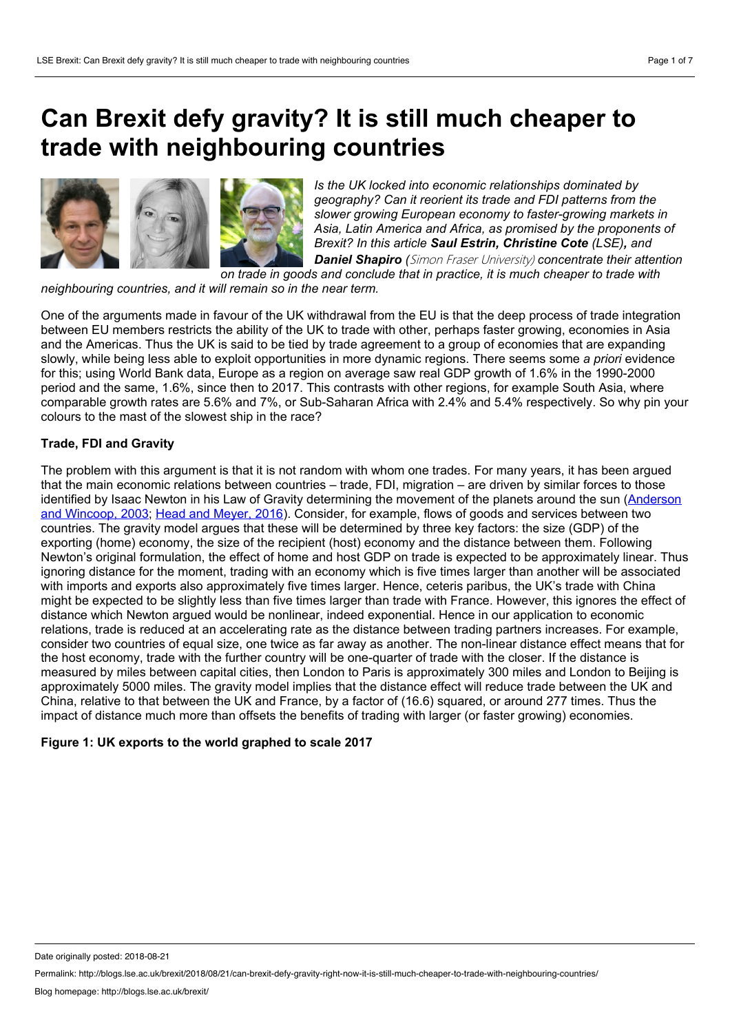## **Can Brexit defy gravity? It is stillmuch cheaper to trade with neighbouring countries**



*Is the UK locked into economic relationships dominated by geography? Can it reorient its trade and FDI patterns from the slower growing European economy to faster-growing markets in Asia, Latin America and Africa, as promised by the proponents of Brexit? In this article Saul Estrin, Christine Cote (LSE), and Daniel Shapiro (*Simon Fraser University) *concentrate their attention*

*on trade in goods and conclude thatin practice, it is much cheaper to trade with*

*neighbouring countries, and it will remain so in the near term.*

One of the arguments made in favour of the UK withdrawal from the EU is that the deep process of trade integration between EU members restricts the ability of the UK to trade with other, perhaps faster growing, economies in Asia and the Americas. Thus the UK is said to be tied by trade agreement to a group of economies that are expanding slowly, while being less able to exploit opportunities in more dynamic regions. There seems some *a priori* evidence for this; using World Bank data, Europe as a region on average saw real GDP growth of 1.6% in the 1990-2000 period and the same, 1.6%, since then to 2017. This contrasts with other regions, for example South Asia, where comparable growth rates are 5.6% and 7%, or Sub-Saharan Africa with 2.4% and 5.4% respectively. So why pin your colours to the mast of the slowest ship in the race?

### **Trade, FDI and Gravity**

The problem with this argument is that it is not random with whom one trades. For many years, it has been argued that the main economic relations between countries – trade, FDI, migration – are driven by similar forces to those identified by Isaac Newton in his Law of Gravity [determining](https://www.nber.org/papers/w8079) the movement of the planets around the sun (Anderson and Wincoop, 2003; Head and [Meyer,](http://www.cepii.fr/PDF_PUB/wp/2013/wp2013-27.pdf) 2016). Consider, for example, flows of goods and services between two countries. The gravity model argues that these will be determined by three key factors: the size (GDP) of the exporting (home) economy, the size of the recipient (host) economy and the distance between them. Following Newton's original formulation, the effect of home and host GDP on trade is expected to be approximately linear. Thus ignoring distance for the moment, trading with an economy which is five times larger than another will be associated with imports and exports also approximately five times larger. Hence, ceteris paribus, the UK's trade with China might be expected to be slightly less than five times larger than trade with France. However, this ignores the effect of distance which Newton argued would be nonlinear, indeed exponential. Hence in our application to economic relations, trade is reduced at an accelerating rate as the distance between trading partners increases. For example, consider two countries of equal size, one twice as far away as another. The non-linear distance effect means that for the host economy, trade with the further country will be one-quarter of trade with the closer. If the distance is measured by miles between capital cities, then London to Paris is approximately 300 miles and London to Beijing is approximately 5000 miles. The gravity model implies that the distance effect will reduce trade between the UK and China, relative to that between the UK and France, by a factor of (16.6) squared, or around 277 times. Thus the impact of distance much more than offsets the benefits of trading with larger (or faster growing) economies.

### **Figure 1: UK exports to the world graphed to scale 2017**

Date originally posted: 2018-08-21

Permalink: http://blogs.lse.ac.uk/brexit/2018/08/21/can-brexit-defy-gravity-right-now-it-is-still-much-cheaper-to-trade-with-neighbouring-countries/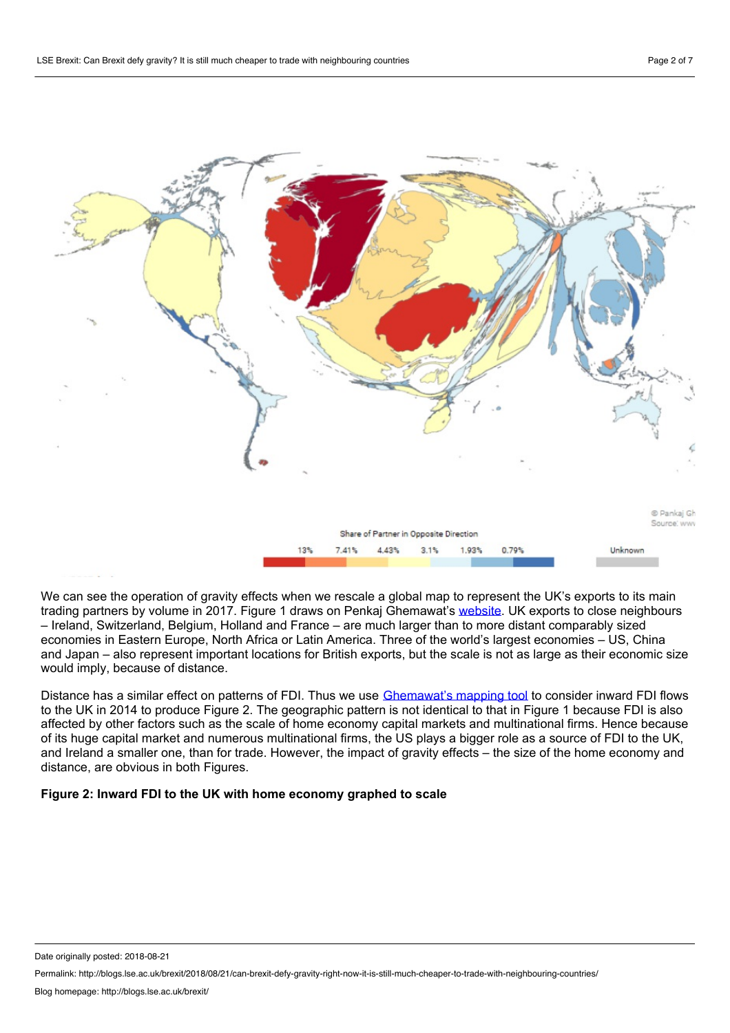

We can see the operation of gravity effects when we rescale a global map to represent the UK's exports to its main trading partners by volume in 2017. Figure 1 draws on Penkaj Ghemawat's [website.](https://ghemawat.com/) UK exports to close neighbours – Ireland, Switzerland, Belgium, Holland and France – are much larger than to more distant comparably sized economies in Eastern Europe, North Africa or Latin America. Three of the world's largest economies – US,China and Japan – also represent important locations for British exports, but the scale is not as large as their economic size would imply, because of distance.

Distance has a similar effect on patterns of FDI. Thus we use [Ghemawat's](https://hbr.org/product/redefining-global-strategy-with-a-new-preface-crossing-borders-in-a-world-where-differences-still-matter/10203E-KND-ENG) mapping tool to consider inward FDI flows to the UK in 2014 to produce Figure 2. The geographic pattern is not identical to that in Figure 1 because FDI is also affected by other factors such as the scale of home economy capital markets and multinational firms. Hence because of its huge capital market and numerous multinational firms, the US plays a bigger role as a source of FDI to the UK, and Ireland a smaller one, than for trade. However, the impact of gravity effects – the size of the home economy and distance, are obvious in both Figures.

### **Figure 2: Inward FDI to the UK with home economy graphed to scale**

Date originally posted: 2018-08-21

Permalink: http://blogs.lse.ac.uk/brexit/2018/08/21/can-brexit-defy-gravity-right-now-it-is-still-much-cheaper-to-trade-with-neighbouring-countries/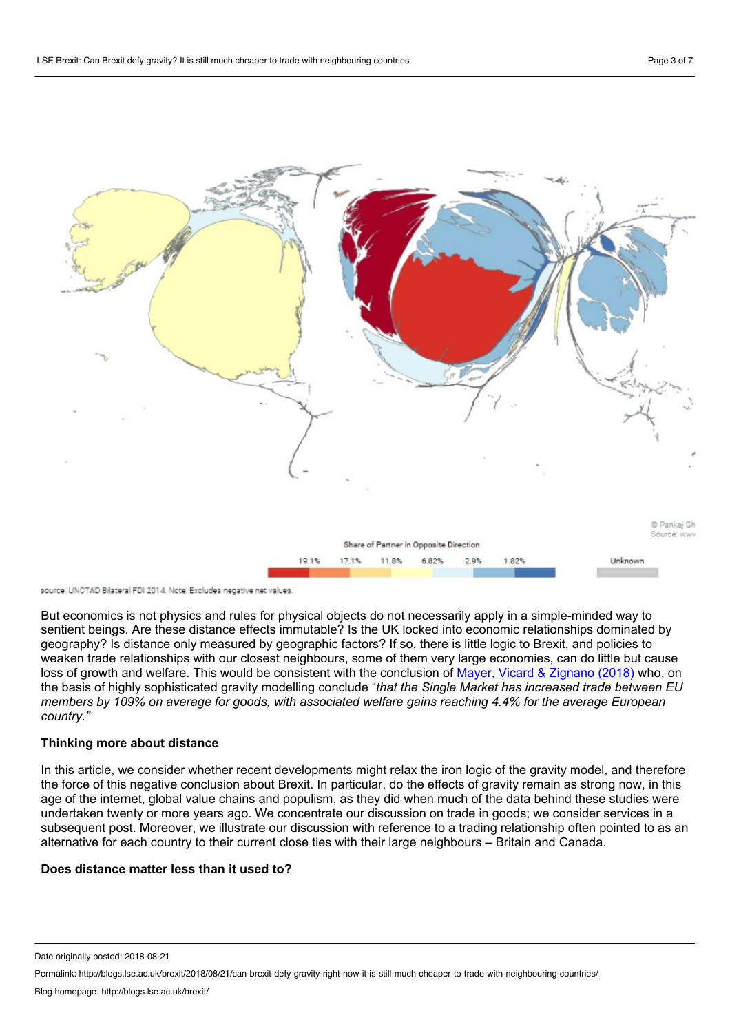

source: UNCTAD Bilateral FDI 2014. Note: Excludes negative net values.

But economics is not physics and rules for physical objects do not necessarily apply in a simple-minded way to sentient beings. Are these distance effects immutable? Is the UK locked into economic relationships dominated by geography? Is distance only measured by geographic factors? If so, there is little logic to Brexit, and policies to weaken trade relationships with our closest neighbours, some of them very large economies, can do little but cause loss of growth and welfare. This would be consistent with the conclusion of Mayer, Vicard & [Zignano](https://voxeu.org/article/revisiting-cost-non-europe) (2018) who, on the basis of highly sophisticated gravity modelling conclude "*that the Single Market has increased trade between EU* members by 109% on average for goods, with associated welfare gains reaching 4.4% for the average European *country."*

### **Thinking more about distance**

In this article, we consider whether recent developments might relax the iron logic of the gravity model, and therefore the force of this negative conclusion about Brexit. In particular, do the effects of gravity remain as strong now, in this age of the internet, global value chains and populism, as they did when much of the data behind these studies were undertaken twenty or more years ago. We concentrate our discussion on trade in goods; we consider services in a subsequent post. Moreover, we illustrate our discussion with reference to a trading relationship often pointed to as an alternative for each country to their current close ties with their large neighbours – Britain and Canada.

### **Does distance matter less than it used to?**

Date originally posted: 2018-08-21

Permalink: http://blogs.lse.ac.uk/brexit/2018/08/21/can-brexit-defy-gravity-right-now-it-is-still-much-cheaper-to-trade-with-neighbouring-countries/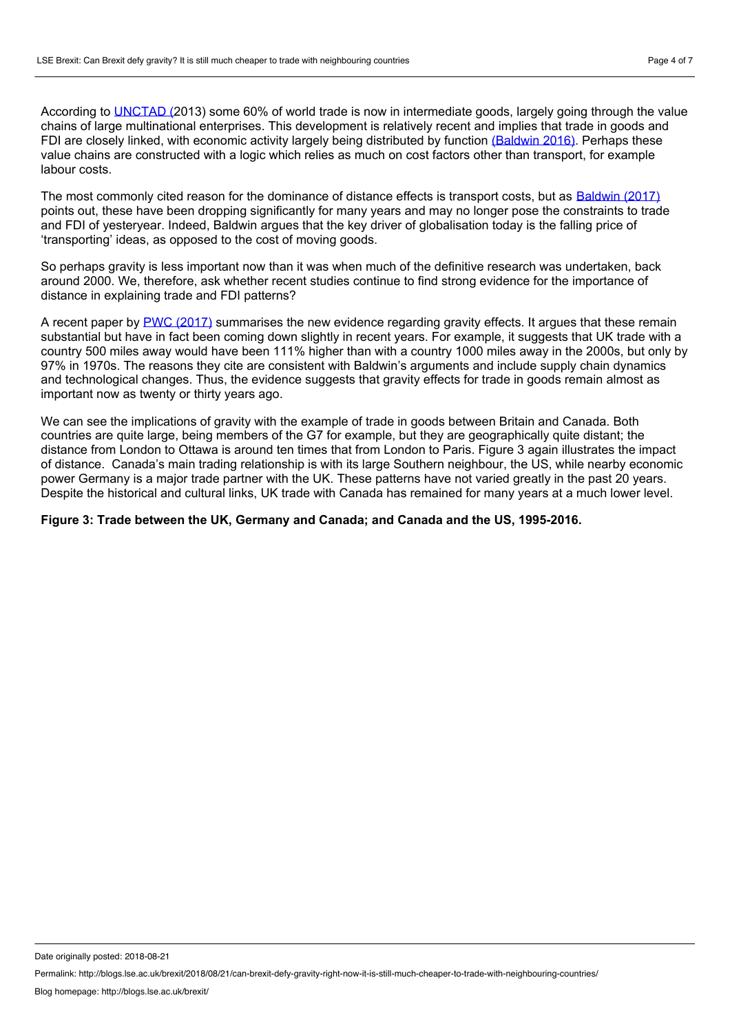According to [UNCTAD](http://unctad.org/en/pages/PublicationWebflyer.aspx?publicationid=588) (2013) some 60% of world trade is now in intermediate goods, largely going through the value chains of large multinational enterprises. This development is relatively recent and implies that trade in goods and FDI are closely linked, with economic activity largely being distributed by function [\(Baldwin](https://www.aeaweb.org/articles?id=10.1257/jep.30.1.95) 2016). Perhaps these value chains are constructed with a logic which relies as much on cost factors other than transport, for example labour costs.

The most commonly cited reason for the dominance of distance effects is transport costs, but as [Baldwin](http://www.hup.harvard.edu/catalog.php?isbn=9780674660489) (2017) points out, these have been dropping significantly for many years and may no longer pose the constraints to trade and FDI of yesteryear. Indeed, Baldwin argues that the key driver of globalisation today is the falling price of 'transporting' ideas, as opposed to the cost of moving goods.

So perhaps gravity is less important now than it was when much of the definitive research was undertaken, back around 2000. We, therefore, ask whether recent studies continue to find strong evidence for the importance of distance in explaining trade and FDI patterns?

A recent paper by PWC [\(2017\)](https://www.pwc.co.uk/government-public-sector/assets/documents/pwc-the-gravity-model.pdf) summarises the new evidence regarding gravity effects. It argues that these remain substantial but have in fact been coming down slightly in recent years. For example, it suggests that UK trade with a country 500 miles away would have been 111% higher than with a country 1000 miles away in the 2000s, but only by 97% in 1970s. The reasons they cite are consistent with Baldwin's arguments and include supply chain dynamics and technological changes. Thus, the evidence suggests that gravity effects for trade in goods remain almost as important now as twenty or thirty years ago.

We can see the implications of gravity with the example of trade in goods between Britain and Canada. Both countries are quite large, being members of the G7 for example, but they are geographically quite distant; the distance from London to Ottawa is around ten times that from London to Paris. Figure 3 again illustrates the impact of distance. Canada's main trading relationship is with its large Southern neighbour, the US,while nearby economic power Germany is a major trade partner with the UK. These patterns have not varied greatly in the past 20 years. Despite the historical and cultural links, UK trade with Canada has remained for many years at a much lower level.

### **Figure 3: Trade between the UK,Germany and Canada; and Canada and the US, 1995-2016.**

Date originally posted: 2018-08-21

Permalink: http://blogs.lse.ac.uk/brexit/2018/08/21/can-brexit-defy-gravity-right-now-it-is-still-much-cheaper-to-trade-with-neighbouring-countries/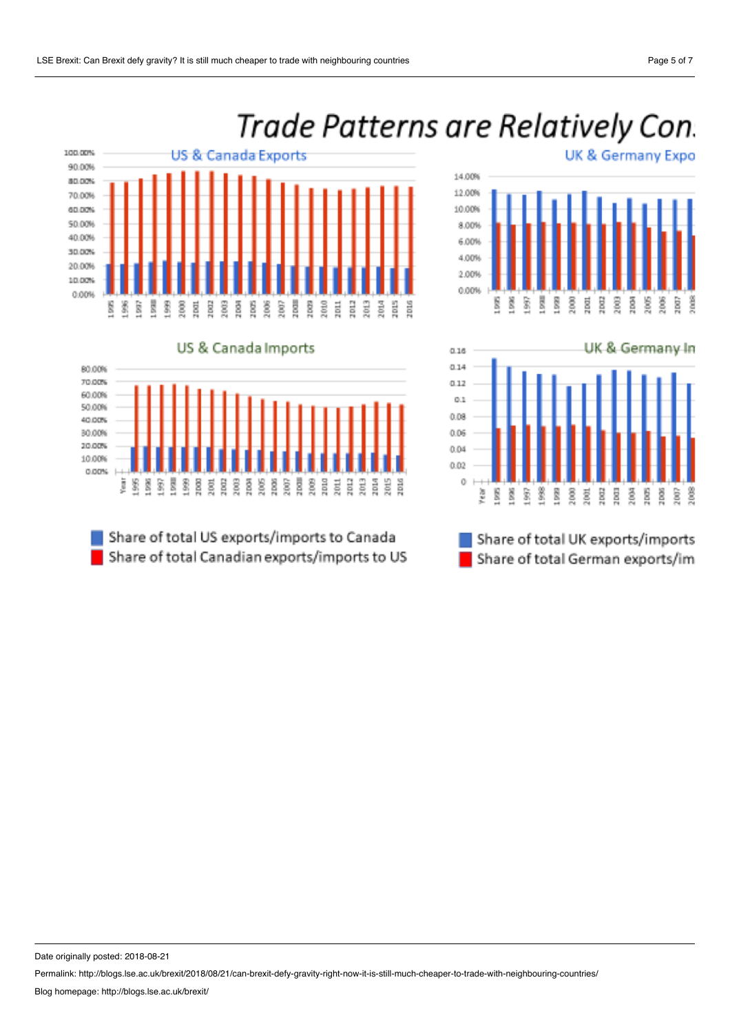# Trade Patterns are Relatively Con.







Share of total US exports/imports to Canada Share of total Canadian exports/imports to US UK & Germany Expo





Share of total UK exports/imports Share of total German exports/im

80.00%

Date originally posted: 2018-08-21

Permalink: http://blogs.lse.ac.uk/brexit/2018/08/21/can-brexit-defy-gravity-right-now-it-is-still-much-cheaper-to-trade-with-neighbouring-countries/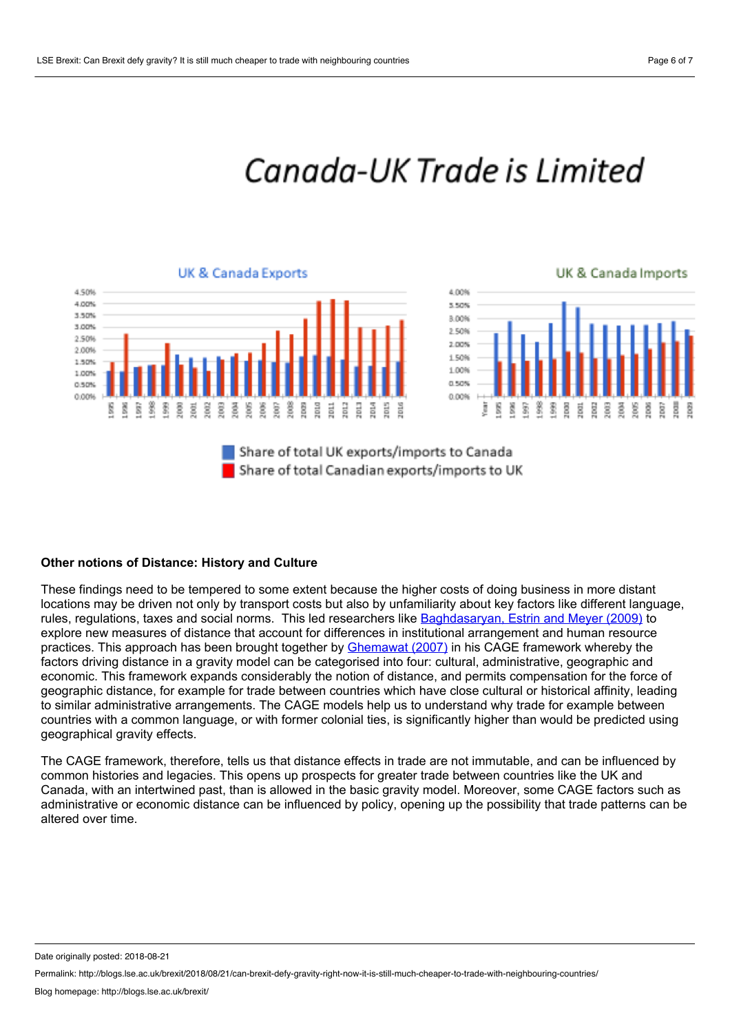## Canada-UK Trade is Limited

### **UK & Canada Exports**



### UK & Canada Imports





### **Other notions of Distance: History and Culture**

These findings need to be tempered to some extent because the higher costs of doing business in more distant locations may be driven not only by transport costs but also by unfamiliarity about key factors like different language, rules, regulations, taxes and social norms. This led researchers like [Baghdasaryan,](http://eprints.lse.ac.uk/30442/) Estrin and Meyer (2009) to explore new measures of distance that account for differences in institutional arrangement and human resource practices. This approach has been brought together by [Ghemawat](https://hbr.org/product/redefining-global-strategy-with-a-new-preface-crossing-borders-in-a-world-where-differences-still-matter/10203E-KND-ENG) (2007) in his CAGE framework whereby the factors driving distance in a gravity model can be categorised into four: cultural, administrative, geographic and economic. This framework expands considerably the notion of distance, and permits compensation for the force of geographic distance, for example for trade between countries which have close cultural or historical affinity, leading to similar administrative arrangements. The CAGE models help us to understand why trade for example between countries with a common language, or with former colonial ties, is significantly higher than would be predicted using geographical gravity effects.

The CAGE framework, therefore, tells us that distance effects in trade are not immutable, and can be influenced by common histories and legacies. This opens up prospects for greater trade between countries like the UK and Canada, with an intertwined past, than is allowed in the basic gravity model. Moreover, some CAGE factors such as administrative or economic distance can be influenced by policy, opening up the possibility that trade patterns can be altered over time.

Date originally posted: 2018-08-21

Permalink: http://blogs.lse.ac.uk/brexit/2018/08/21/can-brexit-defy-gravity-right-now-it-is-still-much-cheaper-to-trade-with-neighbouring-countries/